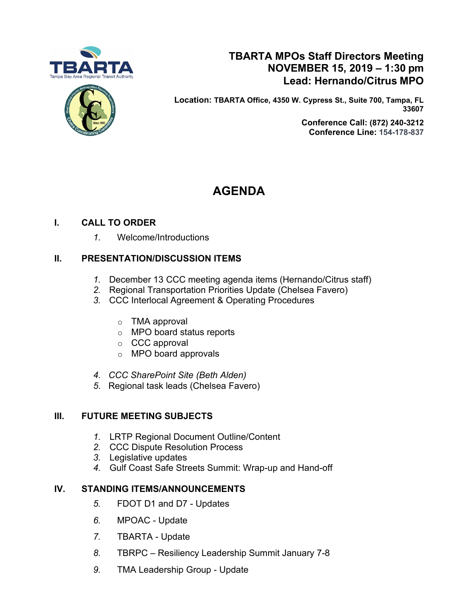



# **TBARTA MPOs Staff Directors Meeting NOVEMBER 15, 2019 – 1:30 pm Lead: Hernando/Citrus MPO**

**Location: TBARTA Office, 4350 W. Cypress St., Suite 700, Tampa, FL 33607**

> **Conference Call: [\(872\) 240-3212](tel:+18722403212,,345138829) Conference Line: 154-178-837**

# **AGENDA**

# **I. CALL TO ORDER**

*1.* Welcome/Introductions

# **II. PRESENTATION/DISCUSSION ITEMS**

- *1.* December 13 CCC meeting agenda items (Hernando/Citrus staff)
- *2.* Regional Transportation Priorities Update (Chelsea Favero)
- *3.* CCC Interlocal Agreement & Operating Procedures
	- $\circ$  TMA approval
	- o MPO board status reports
	- o CCC approval
	- o MPO board approvals
- *4. CCC SharePoint Site (Beth Alden)*
- *5*. Regional task leads (Chelsea Favero)

# **III. FUTURE MEETING SUBJECTS**

- *1.* LRTP Regional Document Outline/Content
- *2.* CCC Dispute Resolution Process
- *3.* Legislative updates
- *4.* Gulf Coast Safe Streets Summit: Wrap-up and Hand-off

# **IV. STANDING ITEMS/ANNOUNCEMENTS**

- *5.* FDOT D1 and D7 Updates
- *6.* MPOAC Update
- *7.* TBARTA Update
- *8.* TBRPC Resiliency Leadership Summit January 7-8
- *9.* TMA Leadership Group Update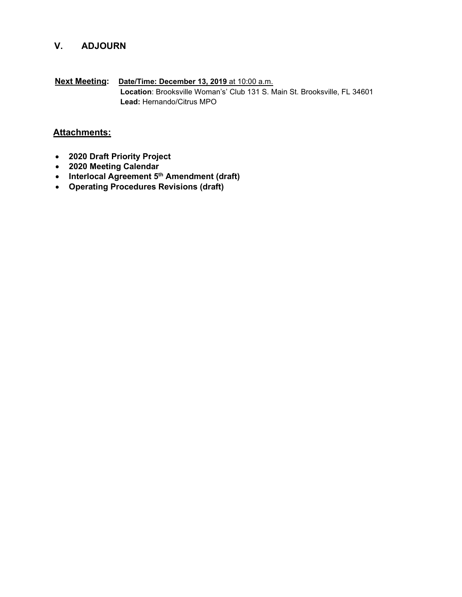# **V. ADJOURN**

**Next Meeting: Date/Time: December 13, 2019** at 10:00 a.m. **Location**: Brooksville Woman's' Club 131 S. Main St. Brooksville, FL 34601 **Lead:** Hernando/Citrus MPO

# **Attachments:**

- **2020 Draft Priority Project**
- **2020 Meeting Calendar**
- **Interlocal Agreement 5th Amendment (draft)**
- **Operating Procedures Revisions (draft)**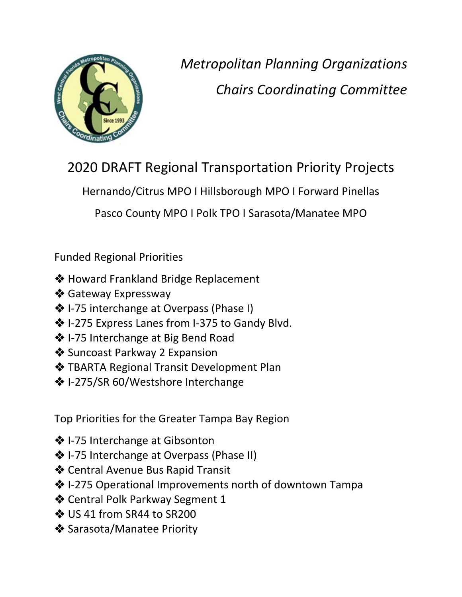

 *Metropolitan Planning Organizations Chairs Coordinating Committee*

2020 DRAFT Regional Transportation Priority Projects

Hernando/Citrus MPO I Hillsborough MPO I Forward Pinellas

Pasco County MPO I Polk TPO I Sarasota/Manatee MPO

Funded Regional Priorities

- **❖ Howard Frankland Bridge Replacement**
- ❖ Gateway Expressway
- ❖ I-75 interchange at Overpass (Phase I)
- ◆ I-275 Express Lanes from I-375 to Gandy Blvd.
- $\diamondsuit$  I-75 Interchange at Big Bend Road
- **❖** Suncoast Parkway 2 Expansion
- **❖ TBARTA Regional Transit Development Plan**
- **❖** I-275/SR 60/Westshore Interchange

Top Priorities for the Greater Tampa Bay Region

- ❖ I-75 Interchange at Gibsonton
- ❖ I-75 Interchange at Overpass (Phase II)
- Central Avenue Bus Rapid Transit
- $*$  **I-275 Operational Improvements north of downtown Tampa**
- ◆ Central Polk Parkway Segment 1
- ❖ US 41 from SR44 to SR200
- ◆ Sarasota/Manatee Priority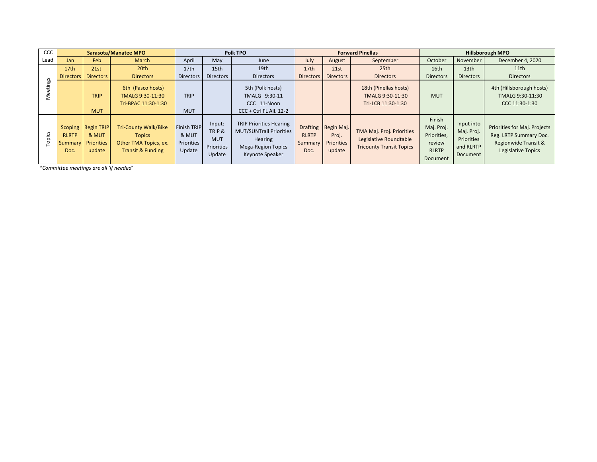| CCC                                     | Sarasota/Manatee MPO            |                                                     |                                                                                                       | Polk TPO                                            |                                                        |                                                                                                                             | <b>Forward Pinellas</b>         |                                                             |                                                                                        | <b>Hillsborough MPO</b>                                                   |                                                                 |                                                                                                      |
|-----------------------------------------|---------------------------------|-----------------------------------------------------|-------------------------------------------------------------------------------------------------------|-----------------------------------------------------|--------------------------------------------------------|-----------------------------------------------------------------------------------------------------------------------------|---------------------------------|-------------------------------------------------------------|----------------------------------------------------------------------------------------|---------------------------------------------------------------------------|-----------------------------------------------------------------|------------------------------------------------------------------------------------------------------|
| Lead                                    | Jan                             | Feb                                                 | March                                                                                                 | April                                               | May                                                    | June                                                                                                                        | July                            | August                                                      | September                                                                              | October                                                                   | November                                                        | December 4, 2020                                                                                     |
|                                         | 17 <sub>th</sub>                | 21st                                                | 20 <sup>th</sup>                                                                                      | 17th                                                | 15th                                                   | 19th                                                                                                                        | 17th                            | 21st                                                        | 25th                                                                                   | 16th                                                                      | 13th                                                            | 11th                                                                                                 |
| Meetings                                | Directors                       | <b>Directors</b>                                    | <b>Directors</b>                                                                                      | Directors                                           | <b>Directors</b>                                       | <b>Directors</b>                                                                                                            | <b>Directors</b>                | <b>Directors</b>                                            | <b>Directors</b>                                                                       | <b>Directors</b>                                                          | <b>Directors</b>                                                | <b>Directors</b>                                                                                     |
|                                         |                                 | <b>TRIP</b><br><b>MUT</b>                           | 6th (Pasco hosts)<br>TMALG 9:30-11:30<br>Tri-BPAC 11:30-1:30                                          | <b>TRIP</b><br><b>MUT</b>                           |                                                        | 5th (Polk hosts)<br>TMALG 9:30-11<br>CCC 11-Noon<br>CCC + Ctrl FL All. 12-2                                                 |                                 |                                                             | 18th (Pinellas hosts)<br>TMALG 9:30-11:30<br>Tri-LCB 11:30-1:30                        | <b>MUT</b>                                                                |                                                                 | 4th (Hillsborough hosts)<br>TMALG 9:30-11:30<br>CCC 11:30-1:30                                       |
| Topics                                  | <b>RLRTP</b><br>Summary<br>Doc. | Scoping Begin TRIP<br>& MUT<br>Priorities<br>update | <b>Tri-County Walk/Bike</b><br><b>Topics</b><br>Other TMA Topics, ex.<br><b>Transit &amp; Funding</b> | <b>Finish TRIP</b><br>& MUT<br>Priorities<br>Update | Input:<br>TRIP &<br><b>MUT</b><br>Priorities<br>Update | <b>TRIP Priorities Hearing</b><br><b>MUT/SUNTrail Priorities</b><br>Hearing<br><b>Mega-Region Topics</b><br>Keynote Speaker | <b>RLRTP</b><br>Summary<br>Doc. | Drafting Begin Maj.<br>Proj.<br><b>Priorities</b><br>update | TMA Maj. Proj. Priorities<br>Legislative Roundtable<br><b>Tricounty Transit Topics</b> | Finish<br>Maj. Proj.<br>Priorities,<br>review<br><b>RLRTP</b><br>Document | Input into<br>Maj. Proj.<br>Priorities<br>and RLRTP<br>Document | Priorities for Maj. Projects<br>Reg. LRTP Summary Doc.<br>Regionwide Transit &<br>Legislative Topics |
| *Committee meetings are all 'if needed' |                                 |                                                     |                                                                                                       |                                                     |                                                        |                                                                                                                             |                                 |                                                             |                                                                                        |                                                                           |                                                                 |                                                                                                      |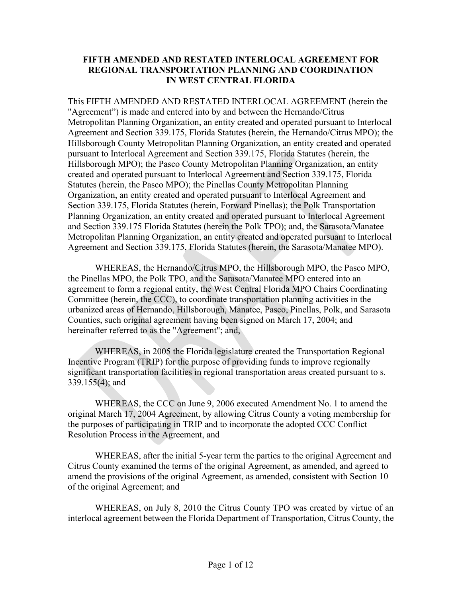# **FIFTH AMENDED AND RESTATED INTERLOCAL AGREEMENT FOR REGIONAL TRANSPORTATION PLANNING AND COORDINATION IN WEST CENTRAL FLORIDA**

This FIFTH AMENDED AND RESTATED INTERLOCAL AGREEMENT (herein the "Agreement") is made and entered into by and between the Hernando/Citrus Metropolitan Planning Organization, an entity created and operated pursuant to Interlocal Agreement and Section 339.175, Florida Statutes (herein, the Hernando/Citrus MPO); the Hillsborough County Metropolitan Planning Organization, an entity created and operated pursuant to Interlocal Agreement and Section 339.175, Florida Statutes (herein, the Hillsborough MPO); the Pasco County Metropolitan Planning Organization, an entity created and operated pursuant to Interlocal Agreement and Section 339.175, Florida Statutes (herein, the Pasco MPO); the Pinellas County Metropolitan Planning Organization, an entity created and operated pursuant to Interlocal Agreement and Section 339.175, Florida Statutes (herein, Forward Pinellas); the Polk Transportation Planning Organization, an entity created and operated pursuant to Interlocal Agreement and Section 339.175 Florida Statutes (herein the Polk TPO); and, the Sarasota/Manatee Metropolitan Planning Organization, an entity created and operated pursuant to Interlocal Agreement and Section 339.175, Florida Statutes (herein, the Sarasota/Manatee MPO).

WHEREAS, the Hernando/Citrus MPO, the Hillsborough MPO, the Pasco MPO, the Pinellas MPO, the Polk TPO, and the Sarasota/Manatee MPO entered into an agreement to form a regional entity, the West Central Florida MPO Chairs Coordinating Committee (herein, the CCC), to coordinate transportation planning activities in the urbanized areas of Hernando, Hillsborough, Manatee, Pasco, Pinellas, Polk, and Sarasota Counties, such original agreement having been signed on March 17, 2004; and hereinafter referred to as the "Agreement"; and,

WHEREAS, in 2005 the Florida legislature created the Transportation Regional Incentive Program (TRIP) for the purpose of providing funds to improve regionally significant transportation facilities in regional transportation areas created pursuant to s. 339.155(4); and

WHEREAS, the CCC on June 9, 2006 executed Amendment No. 1 to amend the original March 17, 2004 Agreement, by allowing Citrus County a voting membership for the purposes of participating in TRIP and to incorporate the adopted CCC Conflict Resolution Process in the Agreement, and

WHEREAS, after the initial 5-year term the parties to the original Agreement and Citrus County examined the terms of the original Agreement, as amended, and agreed to amend the provisions of the original Agreement, as amended, consistent with Section 10 of the original Agreement; and

WHEREAS, on July 8, 2010 the Citrus County TPO was created by virtue of an interlocal agreement between the Florida Department of Transportation, Citrus County, the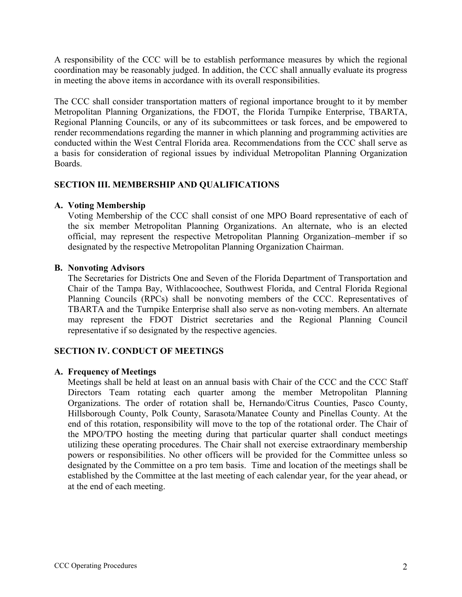A responsibility of the CCC will be to establish performance measures by which the regional coordination may be reasonably judged. In addition, the CCC shall annually evaluate its progress in meeting the above items in accordance with its overall responsibilities.

The CCC shall consider transportation matters of regional importance brought to it by member Metropolitan Planning Organizations, the FDOT, the Florida Turnpike Enterprise, TBARTA, Regional Planning Councils, or any of its subcommittees or task forces, and be empowered to render recommendations regarding the manner in which planning and programming activities are conducted within the West Central Florida area. Recommendations from the CCC shall serve as a basis for consideration of regional issues by individual Metropolitan Planning Organization Boards.

# **SECTION III. MEMBERSHIP AND QUALIFICATIONS**

### **A. Voting Membership**

Voting Membership of the CCC shall consist of one MPO Board representative of each of the six member Metropolitan Planning Organizations. An alternate, who is an elected official, may represent the respective Metropolitan Planning Organization member if so designated by the respective Metropolitan Planning Organization Chairman.

### **B. Nonvoting Advisors**

The Secretaries for Districts One and Seven of the Florida Department of Transportation and Chair of the Tampa Bay, Withlacoochee, Southwest Florida, and Central Florida Regional Planning Councils (RPCs) shall be nonvoting members of the CCC. Representatives of TBARTA and the Turnpike Enterprise shall also serve as non-voting members. An alternate may represent the FDOT District secretaries and the Regional Planning Council representative if so designated by the respective agencies.

# **SECTION IV. CONDUCT OF MEETINGS**

### **A. Frequency of Meetings**

Meetings shall be held at least on an annual basis with Chair of the CCC and the CCC Staff Directors Team rotating each quarter among the member Metropolitan Planning Organizations. The order of rotation shall be, Hernando/Citrus Counties, Pasco County, Hillsborough County, Polk County, Sarasota/Manatee County and Pinellas County. At the end of this rotation, responsibility will move to the top of the rotational order. The Chair of the MPO/TPO hosting the meeting during that particular quarter shall conduct meetings utilizing these operating procedures. The Chair shall not exercise extraordinary membership powers or responsibilities. No other officers will be provided for the Committee unless so designated by the Committee on a pro tem basis. Time and location of the meetings shall be established by the Committee at the last meeting of each calendar year, for the year ahead, or at the end of each meeting.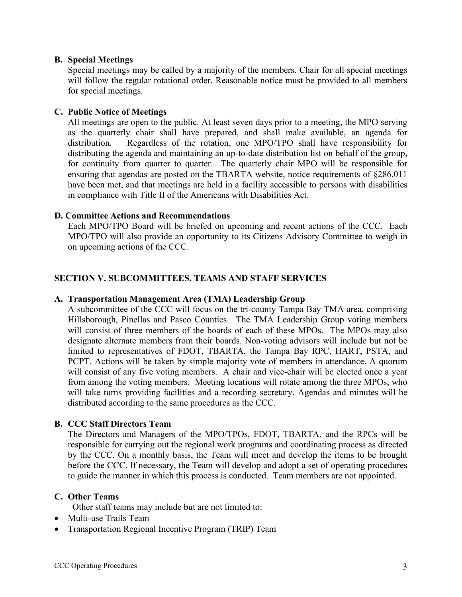### **B. Special Meetings**

Special meetings may be called by a majority of the members. Chair for all special meetings will follow the regular rotational order. Reasonable notice must be provided to all members for special meetings.

#### **C. Public Notice of Meetings**

All meetings are open to the public. At least seven days prior to a meeting, the MPO serving as the quarterly chair shall have prepared, and shall make available, an agenda for distribution. Regardless of the rotation, one MPO/TPO shall have responsibility for distributing the agenda and maintaining an up-to-date distribution list on behalf of the group, for continuity from quarter to quarter. The quarterly chair MPO will be responsible for ensuring that agendas are posted on the TBARTA website, notice requirements of §286.011 have been met, and that meetings are held in a facility accessible to persons with disabilities in compliance with Title II of the Americans with Disabilities Act.

#### **D. Committee Actions and Recommendations**

Each MPO/TPO Board will be briefed on upcoming and recent actions of the CCC. Each MPO/TPO will also provide an opportunity to its Citizens Advisory Committee to weigh in on upcoming actions of the CCC.

### **SECTION V. SUBCOMMITTEES, TEAMS AND STAFF SERVICES**

#### **A. Transportation Management Area (TMA) Leadership Group**

A subcommittee of the CCC will focus on the tri-county Tampa Bay TMA area, comprising Hillsborough, Pinellas and Pasco Counties. The TMA Leadership Group voting members will consist of three members of the boards of each of these MPOs. The MPOs may also designate alternate members from their boards. Non-voting advisors will include but not be limited to representatives of FDOT, TBARTA, the Tampa Bay RPC, HART, PSTA, and PCPT. Actions will be taken by simple majority vote of members in attendance. A quorum will consist of any five voting members. A chair and vice-chair will be elected once a year from among the voting members. Meeting locations will rotate among the three MPOs, who will take turns providing facilities and a recording secretary. Agendas and minutes will be distributed according to the same procedures as the CCC.

#### **B. CCC Staff Directors Team**

The Directors and Managers of the MPO/TPOs, FDOT, TBARTA, and the RPCs will be responsible for carrying out the regional work programs and coordinating process as directed by the CCC. On a monthly basis, the Team will meet and develop the items to be brought before the CCC. If necessary, the Team will develop and adopt a set of operating procedures to guide the manner in which this process is conducted. Team members are not appointed.

#### **C. Other Teams**

Other staff teams may include but are not limited to:

- Multi-use Trails Team
- Transportation Regional Incentive Program (TRIP) Team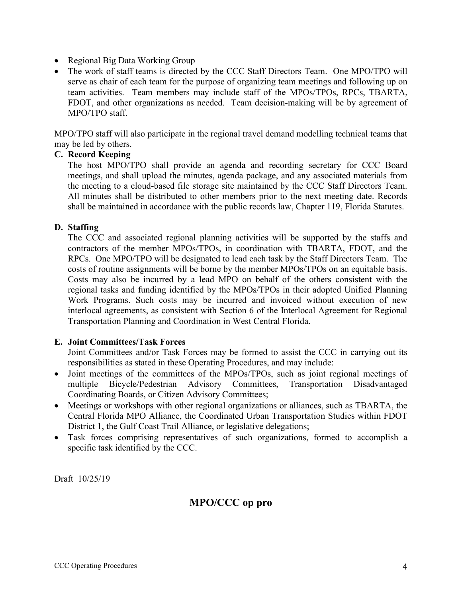- Regional Big Data Working Group
- The work of staff teams is directed by the CCC Staff Directors Team. One MPO/TPO will serve as chair of each team for the purpose of organizing team meetings and following up on team activities. Team members may include staff of the MPOs/TPOs, RPCs, TBARTA, FDOT, and other organizations as needed. Team decision-making will be by agreement of MPO/TPO staff.

MPO/TPO staff will also participate in the regional travel demand modelling technical teams that may be led by others.

### **C. Record Keeping**

The host MPO/TPO shall provide an agenda and recording secretary for CCC Board meetings, and shall upload the minutes, agenda package, and any associated materials from the meeting to a cloud-based file storage site maintained by the CCC Staff Directors Team. All minutes shall be distributed to other members prior to the next meeting date. Records shall be maintained in accordance with the public records law, Chapter 119, Florida Statutes.

### **D. Staffing**

The CCC and associated regional planning activities will be supported by the staffs and contractors of the member MPOs/TPOs, in coordination with TBARTA, FDOT, and the RPCs. One MPO/TPO will be designated to lead each task by the Staff Directors Team. The costs of routine assignments will be borne by the member MPOs/TPOs on an equitable basis. Costs may also be incurred by a lead MPO on behalf of the others consistent with the regional tasks and funding identified by the MPOs/TPOs in their adopted Unified Planning Work Programs. Such costs may be incurred and invoiced without execution of new interlocal agreements, as consistent with Section 6 of the Interlocal Agreement for Regional Transportation Planning and Coordination in West Central Florida.

### **E. Joint Committees/Task Forces**

Joint Committees and/or Task Forces may be formed to assist the CCC in carrying out its responsibilities as stated in these Operating Procedures, and may include:

- Joint meetings of the committees of the MPOs/TPOs, such as joint regional meetings of multiple Bicycle/Pedestrian Advisory Committees, Transportation Disadvantaged Coordinating Boards, or Citizen Advisory Committees;
- Meetings or workshops with other regional organizations or alliances, such as TBARTA, the Central Florida MPO Alliance, the Coordinated Urban Transportation Studies within FDOT District 1, the Gulf Coast Trail Alliance, or legislative delegations;
- Task forces comprising representatives of such organizations, formed to accomplish a specific task identified by the CCC.

Draft 10/25/19

# **MPO/CCC op pro**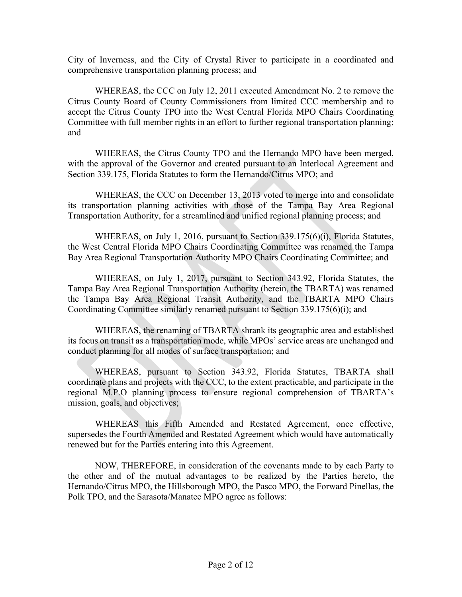City of Inverness, and the City of Crystal River to participate in a coordinated and comprehensive transportation planning process; and

WHEREAS, the CCC on July 12, 2011 executed Amendment No. 2 to remove the Citrus County Board of County Commissioners from limited CCC membership and to accept the Citrus County TPO into the West Central Florida MPO Chairs Coordinating Committee with full member rights in an effort to further regional transportation planning; and

WHEREAS, the Citrus County TPO and the Hernando MPO have been merged, with the approval of the Governor and created pursuant to an Interlocal Agreement and Section 339.175, Florida Statutes to form the Hernando/Citrus MPO; and

WHEREAS, the CCC on December 13, 2013 voted to merge into and consolidate its transportation planning activities with those of the Tampa Bay Area Regional Transportation Authority, for a streamlined and unified regional planning process; and

WHEREAS, on July 1, 2016, pursuant to Section 339.175(6)(i), Florida Statutes, the West Central Florida MPO Chairs Coordinating Committee was renamed the Tampa Bay Area Regional Transportation Authority MPO Chairs Coordinating Committee; and

WHEREAS, on July 1, 2017, pursuant to Section 343.92, Florida Statutes, the Tampa Bay Area Regional Transportation Authority (herein, the TBARTA) was renamed the Tampa Bay Area Regional Transit Authority, and the TBARTA MPO Chairs Coordinating Committee similarly renamed pursuant to Section 339.175(6)(i); and

WHEREAS, the renaming of TBARTA shrank its geographic area and established its focus on transit as a transportation mode, while MPOs' service areas are unchanged and conduct planning for all modes of surface transportation; and

WHEREAS, pursuant to Section 343.92, Florida Statutes, TBARTA shall coordinate plans and projects with the CCC, to the extent practicable, and participate in the regional M.P.O planning process to ensure regional comprehension of TBARTA's mission, goals, and objectives;

WHEREAS this Fifth Amended and Restated Agreement, once effective, supersedes the Fourth Amended and Restated Agreement which would have automatically renewed but for the Parties entering into this Agreement.

NOW, THEREFORE, in consideration of the covenants made to by each Party to the other and of the mutual advantages to be realized by the Parties hereto, the Hernando/Citrus MPO, the Hillsborough MPO, the Pasco MPO, the Forward Pinellas, the Polk TPO, and the Sarasota/Manatee MPO agree as follows: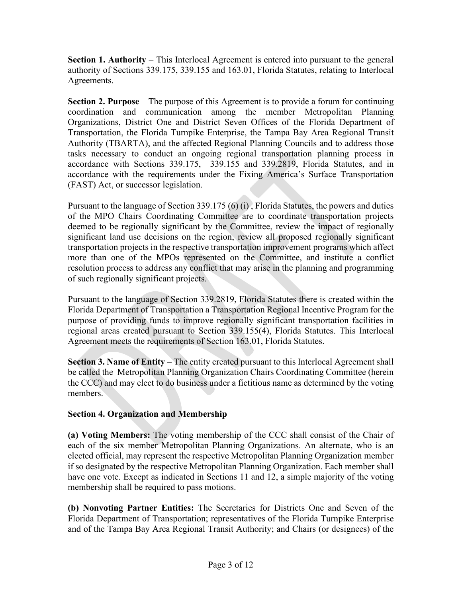**Section 1. Authority** – This Interlocal Agreement is entered into pursuant to the general authority of Sections 339.175, 339.155 and 163.01, Florida Statutes, relating to Interlocal Agreements.

**Section 2. Purpose** – The purpose of this Agreement is to provide a forum for continuing coordination and communication among the member Metropolitan Planning Organizations, District One and District Seven Offices of the Florida Department of Transportation, the Florida Turnpike Enterprise, the Tampa Bay Area Regional Transit Authority (TBARTA), and the affected Regional Planning Councils and to address those tasks necessary to conduct an ongoing regional transportation planning process in accordance with Sections 339.175, 339.155 and 339.2819, Florida Statutes, and in accordance with the requirements under the Fixing America's Surface Transportation (FAST) Act, or successor legislation.

Pursuant to the language of Section 339.175 (6) (i) , Florida Statutes, the powers and duties of the MPO Chairs Coordinating Committee are to coordinate transportation projects deemed to be regionally significant by the Committee, review the impact of regionally significant land use decisions on the region, review all proposed regionally significant transportation projects in the respective transportation improvement programs which affect more than one of the MPOs represented on the Committee, and institute a conflict resolution process to address any conflict that may arise in the planning and programming of such regionally significant projects.

Pursuant to the language of Section 339.2819, Florida Statutes there is created within the Florida Department of Transportation a Transportation Regional Incentive Program for the purpose of providing funds to improve regionally significant transportation facilities in regional areas created pursuant to Section 339.155(4), Florida Statutes. This Interlocal Agreement meets the requirements of Section 163.01, Florida Statutes.

**Section 3. Name of Entity** – The entity created pursuant to this Interlocal Agreement shall be called the Metropolitan Planning Organization Chairs Coordinating Committee (herein the CCC) and may elect to do business under a fictitious name as determined by the voting members.

# **Section 4. Organization and Membership**

**(a) Voting Members:** The voting membership of the CCC shall consist of the Chair of each of the six member Metropolitan Planning Organizations. An alternate, who is an elected official, may represent the respective Metropolitan Planning Organization member if so designated by the respective Metropolitan Planning Organization. Each member shall have one vote. Except as indicated in Sections 11 and 12, a simple majority of the voting membership shall be required to pass motions.

**(b) Nonvoting Partner Entities:** The Secretaries for Districts One and Seven of the Florida Department of Transportation; representatives of the Florida Turnpike Enterprise and of the Tampa Bay Area Regional Transit Authority; and Chairs (or designees) of the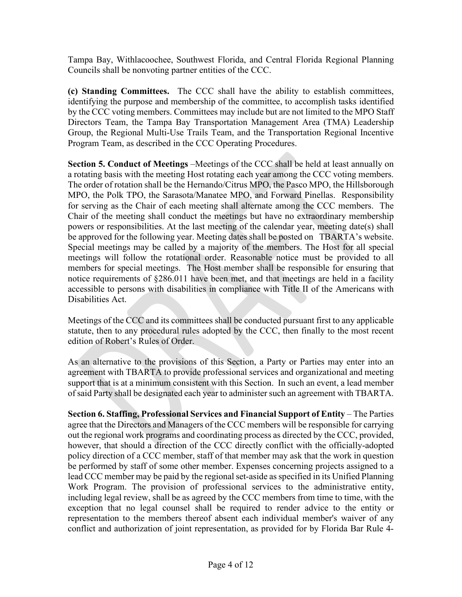Tampa Bay, Withlacoochee, Southwest Florida, and Central Florida Regional Planning Councils shall be nonvoting partner entities of the CCC.

**(c) Standing Committees.** The CCC shall have the ability to establish committees, identifying the purpose and membership of the committee, to accomplish tasks identified by the CCC voting members. Committees may include but are not limited to the MPO Staff Directors Team, the Tampa Bay Transportation Management Area (TMA) Leadership Group, the Regional Multi-Use Trails Team, and the Transportation Regional Incentive Program Team, as described in the CCC Operating Procedures.

**Section 5. Conduct of Meetings** –Meetings of the CCC shall be held at least annually on a rotating basis with the meeting Host rotating each year among the CCC voting members. The order of rotation shall be the Hernando/Citrus MPO, the Pasco MPO, the Hillsborough MPO, the Polk TPO, the Sarasota/Manatee MPO, and Forward Pinellas. Responsibility for serving as the Chair of each meeting shall alternate among the CCC members. The Chair of the meeting shall conduct the meetings but have no extraordinary membership powers or responsibilities. At the last meeting of the calendar year, meeting date(s) shall be approved for the following year. Meeting dates shall be posted on TBARTA's website. Special meetings may be called by a majority of the members. The Host for all special meetings will follow the rotational order. Reasonable notice must be provided to all members for special meetings. The Host member shall be responsible for ensuring that notice requirements of §286.011 have been met, and that meetings are held in a facility accessible to persons with disabilities in compliance with Title II of the Americans with Disabilities Act.

Meetings of the CCC and its committees shall be conducted pursuant first to any applicable statute, then to any procedural rules adopted by the CCC, then finally to the most recent edition of Robert's Rules of Order.

As an alternative to the provisions of this Section, a Party or Parties may enter into an agreement with TBARTA to provide professional services and organizational and meeting support that is at a minimum consistent with this Section. In such an event, a lead member of said Party shall be designated each year to administer such an agreement with TBARTA.

**Section 6. Staffing, Professional Services and Financial Support of Entity** – The Parties agree that the Directors and Managers of the CCC members will be responsible for carrying out the regional work programs and coordinating process as directed by the CCC, provided, however, that should a direction of the CCC directly conflict with the officially-adopted policy direction of a CCC member, staff of that member may ask that the work in question be performed by staff of some other member. Expenses concerning projects assigned to a lead CCC member may be paid by the regional set-aside as specified in its Unified Planning Work Program. The provision of professional services to the administrative entity, including legal review, shall be as agreed by the CCC members from time to time, with the exception that no legal counsel shall be required to render advice to the entity or representation to the members thereof absent each individual member's waiver of any conflict and authorization of joint representation, as provided for by Florida Bar Rule 4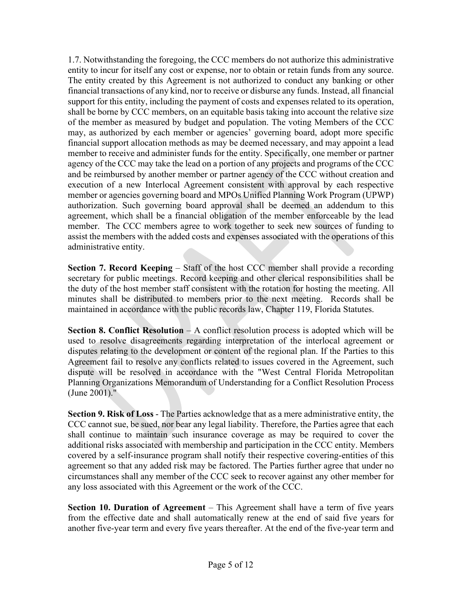1.7. Notwithstanding the foregoing, the CCC members do not authorize this administrative entity to incur for itself any cost or expense, nor to obtain or retain funds from any source. The entity created by this Agreement is not authorized to conduct any banking or other financial transactions of any kind, nor to receive or disburse any funds. Instead, all financial support for this entity, including the payment of costs and expenses related to its operation, shall be borne by CCC members, on an equitable basis taking into account the relative size of the member as measured by budget and population. The voting Members of the CCC may, as authorized by each member or agencies' governing board, adopt more specific financial support allocation methods as may be deemed necessary, and may appoint a lead member to receive and administer funds for the entity. Specifically, one member or partner agency of the CCC may take the lead on a portion of any projects and programs of the CCC and be reimbursed by another member or partner agency of the CCC without creation and execution of a new Interlocal Agreement consistent with approval by each respective member or agencies governing board and MPOs Unified Planning Work Program (UPWP) authorization. Such governing board approval shall be deemed an addendum to this agreement, which shall be a financial obligation of the member enforceable by the lead member. The CCC members agree to work together to seek new sources of funding to assist the members with the added costs and expenses associated with the operations of this administrative entity.

**Section 7. Record Keeping** – Staff of the host CCC member shall provide a recording secretary for public meetings. Record keeping and other clerical responsibilities shall be the duty of the host member staff consistent with the rotation for hosting the meeting. All minutes shall be distributed to members prior to the next meeting. Records shall be maintained in accordance with the public records law, Chapter 119, Florida Statutes.

**Section 8. Conflict Resolution** – A conflict resolution process is adopted which will be used to resolve disagreements regarding interpretation of the interlocal agreement or disputes relating to the development or content of the regional plan. If the Parties to this Agreement fail to resolve any conflicts related to issues covered in the Agreement, such dispute will be resolved in accordance with the "West Central Florida Metropolitan Planning Organizations Memorandum of Understanding for a Conflict Resolution Process (June 2001)."

**Section 9. Risk of Loss** - The Parties acknowledge that as a mere administrative entity, the CCC cannot sue, be sued, nor bear any legal liability. Therefore, the Parties agree that each shall continue to maintain such insurance coverage as may be required to cover the additional risks associated with membership and participation in the CCC entity. Members covered by a self-insurance program shall notify their respective covering-entities of this agreement so that any added risk may be factored. The Parties further agree that under no circumstances shall any member of the CCC seek to recover against any other member for any loss associated with this Agreement or the work of the CCC.

**Section 10. Duration of Agreement** – This Agreement shall have a term of five years from the effective date and shall automatically renew at the end of said five years for another five-year term and every five years thereafter. At the end of the five-year term and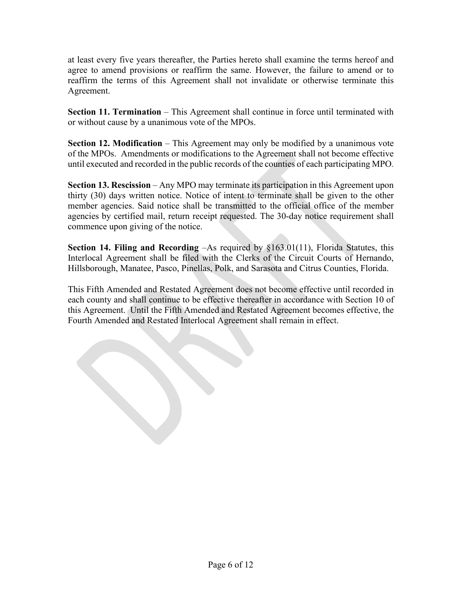at least every five years thereafter, the Parties hereto shall examine the terms hereof and agree to amend provisions or reaffirm the same. However, the failure to amend or to reaffirm the terms of this Agreement shall not invalidate or otherwise terminate this Agreement.

**Section 11. Termination** – This Agreement shall continue in force until terminated with or without cause by a unanimous vote of the MPOs.

**Section 12. Modification** – This Agreement may only be modified by a unanimous vote of the MPOs. Amendments or modifications to the Agreement shall not become effective until executed and recorded in the public records of the counties of each participating MPO.

**Section 13. Rescission** – Any MPO may terminate its participation in this Agreement upon thirty (30) days written notice. Notice of intent to terminate shall be given to the other member agencies. Said notice shall be transmitted to the official office of the member agencies by certified mail, return receipt requested. The 30-day notice requirement shall commence upon giving of the notice.

**Section 14. Filing and Recording** –As required by §163.01(11), Florida Statutes, this Interlocal Agreement shall be filed with the Clerks of the Circuit Courts of Hernando, Hillsborough, Manatee, Pasco, Pinellas, Polk, and Sarasota and Citrus Counties, Florida.

This Fifth Amended and Restated Agreement does not become effective until recorded in each county and shall continue to be effective thereafter in accordance with Section 10 of this Agreement. Until the Fifth Amended and Restated Agreement becomes effective, the Fourth Amended and Restated Interlocal Agreement shall remain in effect.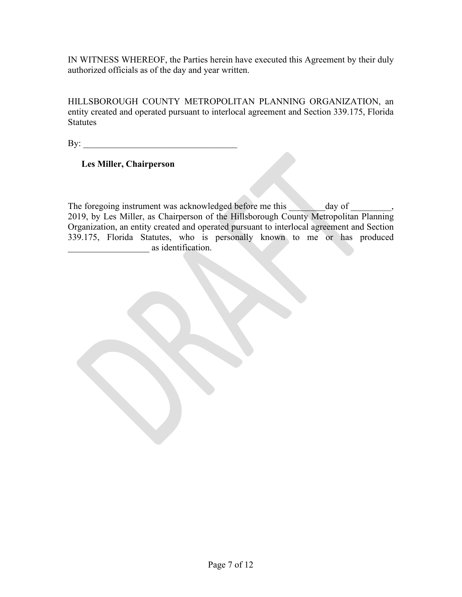HILLSBOROUGH COUNTY METROPOLITAN PLANNING ORGANIZATION, an entity created and operated pursuant to interlocal agreement and Section 339.175, Florida **Statutes** 

 $\mathbf{B} \mathbf{y}$ :

### **Les Miller, Chairperson**

The foregoing instrument was acknowledged before me this \_\_\_\_\_\_\_\_day of \_\_\_\_\_\_\_, 2019, by Les Miller, as Chairperson of the Hillsborough County Metropolitan Planning Organization, an entity created and operated pursuant to interlocal agreement and Section 339.175, Florida Statutes, who is personally known to me or has produced  $\alpha$  as identification.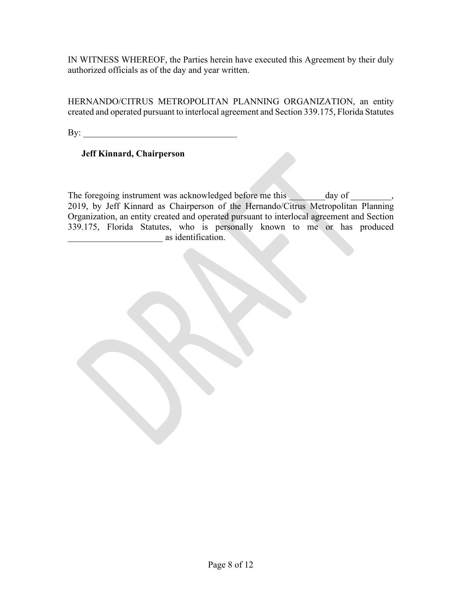HERNANDO/CITRUS METROPOLITAN PLANNING ORGANIZATION, an entity created and operated pursuant to interlocal agreement and Section 339.175, Florida Statutes

 $\mathbf{By:}$ 

# **Jeff Kinnard, Chairperson**

The foregoing instrument was acknowledged before me this day of the case of the case of  $\sim$ 2019, by Jeff Kinnard as Chairperson of the Hernando/Citrus Metropolitan Planning Organization, an entity created and operated pursuant to interlocal agreement and Section 339.175, Florida Statutes, who is personally known to me or has produced \_\_\_\_\_\_\_\_\_\_\_\_\_\_\_\_\_\_\_\_\_ as identification.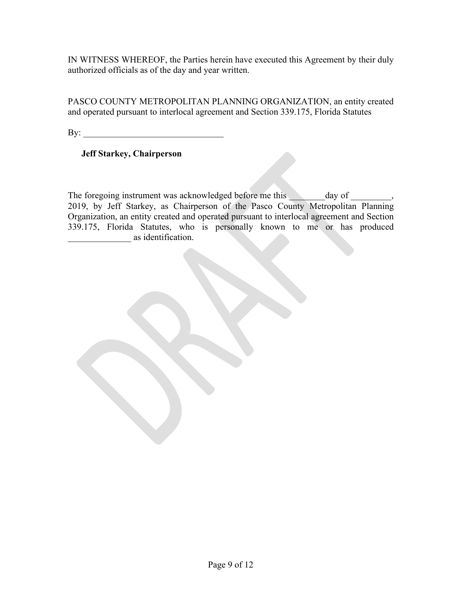PASCO COUNTY METROPOLITAN PLANNING ORGANIZATION, an entity created and operated pursuant to interlocal agreement and Section 339.175, Florida Statutes

 $\mathbf{By:}$ 

# **Jeff Starkey, Chairperson**

The foregoing instrument was acknowledged before me this day of the case of the case of  $\sim$ 2019, by Jeff Starkey, as Chairperson of the Pasco County Metropolitan Planning Organization, an entity created and operated pursuant to interlocal agreement and Section 339.175, Florida Statutes, who is personally known to me or has produced \_\_\_\_\_\_\_\_\_\_\_\_\_\_ as identification.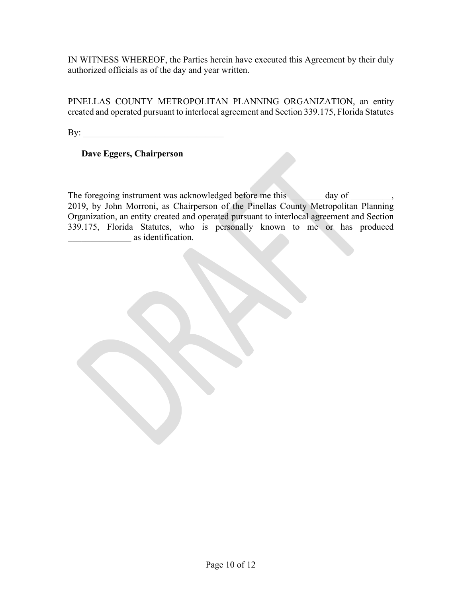PINELLAS COUNTY METROPOLITAN PLANNING ORGANIZATION, an entity created and operated pursuant to interlocal agreement and Section 339.175, Florida Statutes

 $\mathbf{By:}$ 

# **Dave Eggers, Chairperson**

The foregoing instrument was acknowledged before me this day of the case of the case of  $\sim$ 2019, by John Morroni, as Chairperson of the Pinellas County Metropolitan Planning Organization, an entity created and operated pursuant to interlocal agreement and Section 339.175, Florida Statutes, who is personally known to me or has produced as identification.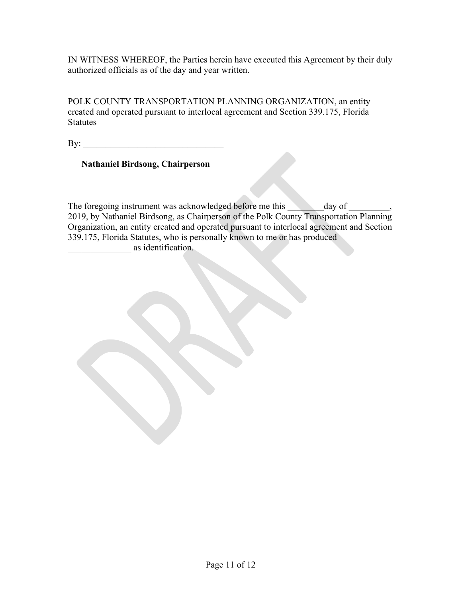POLK COUNTY TRANSPORTATION PLANNING ORGANIZATION, an entity created and operated pursuant to interlocal agreement and Section 339.175, Florida **Statutes** 

 $\mathbf{B} \mathbf{y}$ :

# **Nathaniel Birdsong, Chairperson**

The foregoing instrument was acknowledged before me this \_\_\_\_\_\_\_\_day of \_\_\_\_\_\_\_, 2019, by Nathaniel Birdsong, as Chairperson of the Polk County Transportation Planning Organization, an entity created and operated pursuant to interlocal agreement and Section 339.175, Florida Statutes, who is personally known to me or has produced as identification.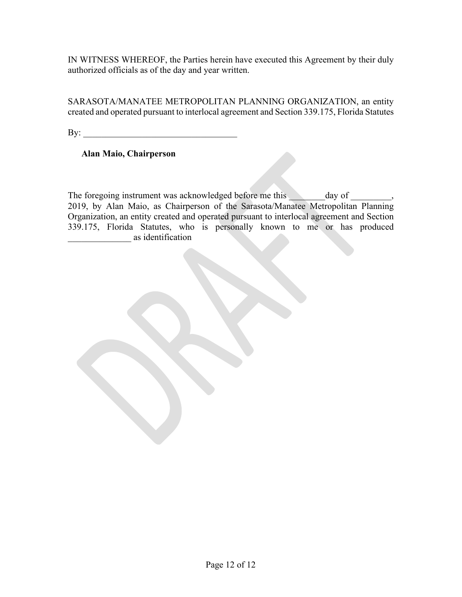SARASOTA/MANATEE METROPOLITAN PLANNING ORGANIZATION, an entity created and operated pursuant to interlocal agreement and Section 339.175, Florida Statutes

 $\mathbf{By:}$ 

# **Alan Maio, Chairperson**

The foregoing instrument was acknowledged before me this day of the case of the case of  $\sim$ 2019, by Alan Maio, as Chairperson of the Sarasota/Manatee Metropolitan Planning Organization, an entity created and operated pursuant to interlocal agreement and Section 339.175, Florida Statutes, who is personally known to me or has produced \_\_\_\_\_\_\_\_\_\_\_\_\_\_ as identification